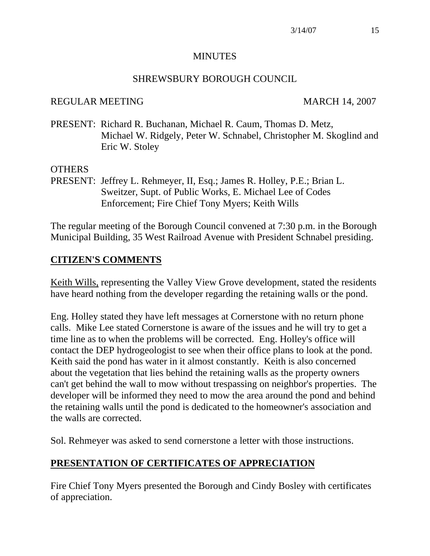#### **MINUTES**

#### SHREWSBURY BOROUGH COUNCIL

#### REGULAR MEETING MARCH 14, 2007

PRESENT: Richard R. Buchanan, Michael R. Caum, Thomas D. Metz, Michael W. Ridgely, Peter W. Schnabel, Christopher M. Skoglind and Eric W. Stoley

#### OTHERS

PRESENT: Jeffrey L. Rehmeyer, II, Esq.; James R. Holley, P.E.; Brian L. Sweitzer, Supt. of Public Works, E. Michael Lee of Codes Enforcement; Fire Chief Tony Myers; Keith Wills

The regular meeting of the Borough Council convened at 7:30 p.m. in the Borough Municipal Building, 35 West Railroad Avenue with President Schnabel presiding.

### **CITIZEN'S COMMENTS**

Keith Wills, representing the Valley View Grove development, stated the residents have heard nothing from the developer regarding the retaining walls or the pond.

Eng. Holley stated they have left messages at Cornerstone with no return phone calls. Mike Lee stated Cornerstone is aware of the issues and he will try to get a time line as to when the problems will be corrected. Eng. Holley's office will contact the DEP hydrogeologist to see when their office plans to look at the pond. Keith said the pond has water in it almost constantly. Keith is also concerned about the vegetation that lies behind the retaining walls as the property owners can't get behind the wall to mow without trespassing on neighbor's properties. The developer will be informed they need to mow the area around the pond and behind the retaining walls until the pond is dedicated to the homeowner's association and the walls are corrected.

Sol. Rehmeyer was asked to send cornerstone a letter with those instructions.

## **PRESENTATION OF CERTIFICATES OF APPRECIATION**

Fire Chief Tony Myers presented the Borough and Cindy Bosley with certificates of appreciation.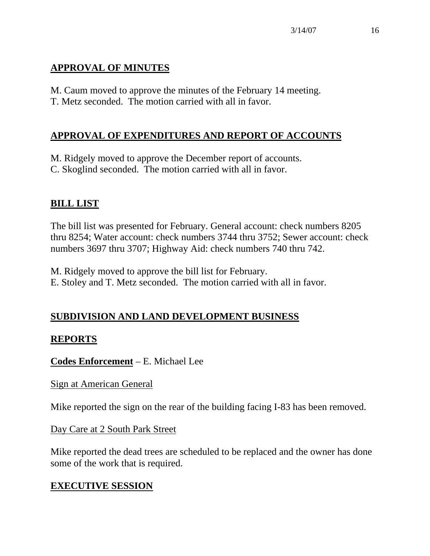# **APPROVAL OF MINUTES**

M. Caum moved to approve the minutes of the February 14 meeting. T. Metz seconded. The motion carried with all in favor.

# **APPROVAL OF EXPENDITURES AND REPORT OF ACCOUNTS**

M. Ridgely moved to approve the December report of accounts. C. Skoglind seconded. The motion carried with all in favor.

# **BILL LIST**

The bill list was presented for February. General account: check numbers 8205 thru 8254; Water account: check numbers 3744 thru 3752; Sewer account: check numbers 3697 thru 3707; Highway Aid: check numbers 740 thru 742.

M. Ridgely moved to approve the bill list for February. E. Stoley and T. Metz seconded. The motion carried with all in favor.

# **SUBDIVISION AND LAND DEVELOPMENT BUSINESS**

# **REPORTS**

**Codes Enforcement** – E. Michael Lee

Sign at American General

Mike reported the sign on the rear of the building facing I-83 has been removed.

Day Care at 2 South Park Street

Mike reported the dead trees are scheduled to be replaced and the owner has done some of the work that is required.

# **EXECUTIVE SESSION**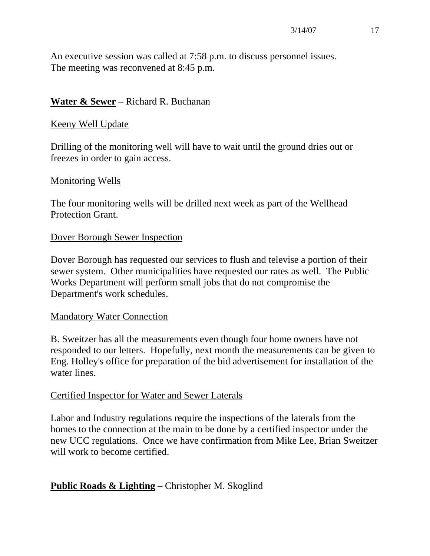An executive session was called at 7:58 p.m. to discuss personnel issues. The meeting was reconvened at 8:45 p.m.

### **Water & Sewer** – Richard R. Buchanan

#### Keeny Well Update

Drilling of the monitoring well will have to wait until the ground dries out or freezes in order to gain access.

#### Monitoring Wells

The four monitoring wells will be drilled next week as part of the Wellhead Protection Grant.

#### Dover Borough Sewer Inspection

Dover Borough has requested our services to flush and televise a portion of their sewer system. Other municipalities have requested our rates as well. The Public Works Department will perform small jobs that do not compromise the Department's work schedules.

#### Mandatory Water Connection

B. Sweitzer has all the measurements even though four home owners have not responded to our letters. Hopefully, next month the measurements can be given to Eng. Holley's office for preparation of the bid advertisement for installation of the water lines.

#### Certified Inspector for Water and Sewer Laterals

Labor and Industry regulations require the inspections of the laterals from the homes to the connection at the main to be done by a certified inspector under the new UCC regulations. Once we have confirmation from Mike Lee, Brian Sweitzer will work to become certified.

## **Public Roads & Lighting** – Christopher M. Skoglind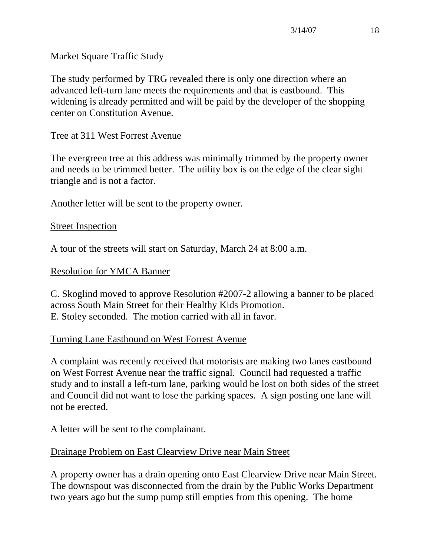#### Market Square Traffic Study

The study performed by TRG revealed there is only one direction where an advanced left-turn lane meets the requirements and that is eastbound. This widening is already permitted and will be paid by the developer of the shopping center on Constitution Avenue.

### Tree at 311 West Forrest Avenue

The evergreen tree at this address was minimally trimmed by the property owner and needs to be trimmed better. The utility box is on the edge of the clear sight triangle and is not a factor.

Another letter will be sent to the property owner.

#### Street Inspection

A tour of the streets will start on Saturday, March 24 at 8:00 a.m.

#### Resolution for YMCA Banner

C. Skoglind moved to approve Resolution #2007-2 allowing a banner to be placed across South Main Street for their Healthy Kids Promotion. E. Stoley seconded. The motion carried with all in favor.

#### Turning Lane Eastbound on West Forrest Avenue

A complaint was recently received that motorists are making two lanes eastbound on West Forrest Avenue near the traffic signal. Council had requested a traffic study and to install a left-turn lane, parking would be lost on both sides of the street and Council did not want to lose the parking spaces. A sign posting one lane will not be erected.

A letter will be sent to the complainant.

#### Drainage Problem on East Clearview Drive near Main Street

A property owner has a drain opening onto East Clearview Drive near Main Street. The downspout was disconnected from the drain by the Public Works Department two years ago but the sump pump still empties from this opening. The home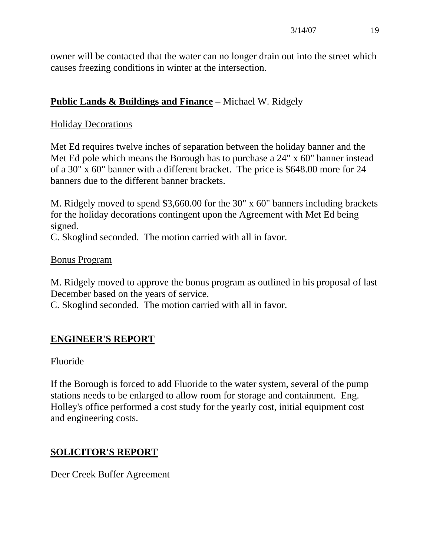owner will be contacted that the water can no longer drain out into the street which causes freezing conditions in winter at the intersection.

## **Public Lands & Buildings and Finance** – Michael W. Ridgely

#### Holiday Decorations

Met Ed requires twelve inches of separation between the holiday banner and the Met Ed pole which means the Borough has to purchase a 24" x 60" banner instead of a 30" x 60" banner with a different bracket. The price is \$648.00 more for 24 banners due to the different banner brackets.

M. Ridgely moved to spend \$3,660.00 for the 30" x 60" banners including brackets for the holiday decorations contingent upon the Agreement with Met Ed being signed.

C. Skoglind seconded. The motion carried with all in favor.

#### Bonus Program

M. Ridgely moved to approve the bonus program as outlined in his proposal of last December based on the years of service.

C. Skoglind seconded. The motion carried with all in favor.

# **ENGINEER'S REPORT**

#### Fluoride

If the Borough is forced to add Fluoride to the water system, several of the pump stations needs to be enlarged to allow room for storage and containment. Eng. Holley's office performed a cost study for the yearly cost, initial equipment cost and engineering costs.

## **SOLICITOR'S REPORT**

Deer Creek Buffer Agreement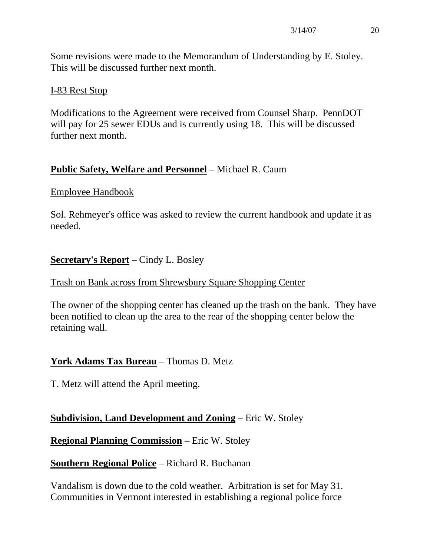Some revisions were made to the Memorandum of Understanding by E. Stoley. This will be discussed further next month.

#### I-83 Rest Stop

Modifications to the Agreement were received from Counsel Sharp. PennDOT will pay for 25 sewer EDUs and is currently using 18. This will be discussed further next month.

## **Public Safety, Welfare and Personnel** – Michael R. Caum

#### Employee Handbook

Sol. Rehmeyer's office was asked to review the current handbook and update it as needed.

### **Secretary's Report** – Cindy L. Bosley

#### Trash on Bank across from Shrewsbury Square Shopping Center

The owner of the shopping center has cleaned up the trash on the bank. They have been notified to clean up the area to the rear of the shopping center below the retaining wall.

#### **York Adams Tax Bureau** – Thomas D. Metz

T. Metz will attend the April meeting.

#### **Subdivision, Land Development and Zoning** – Eric W. Stoley

**Regional Planning Commission** – Eric W. Stoley

**Southern Regional Police** – Richard R. Buchanan

Vandalism is down due to the cold weather. Arbitration is set for May 31. Communities in Vermont interested in establishing a regional police force